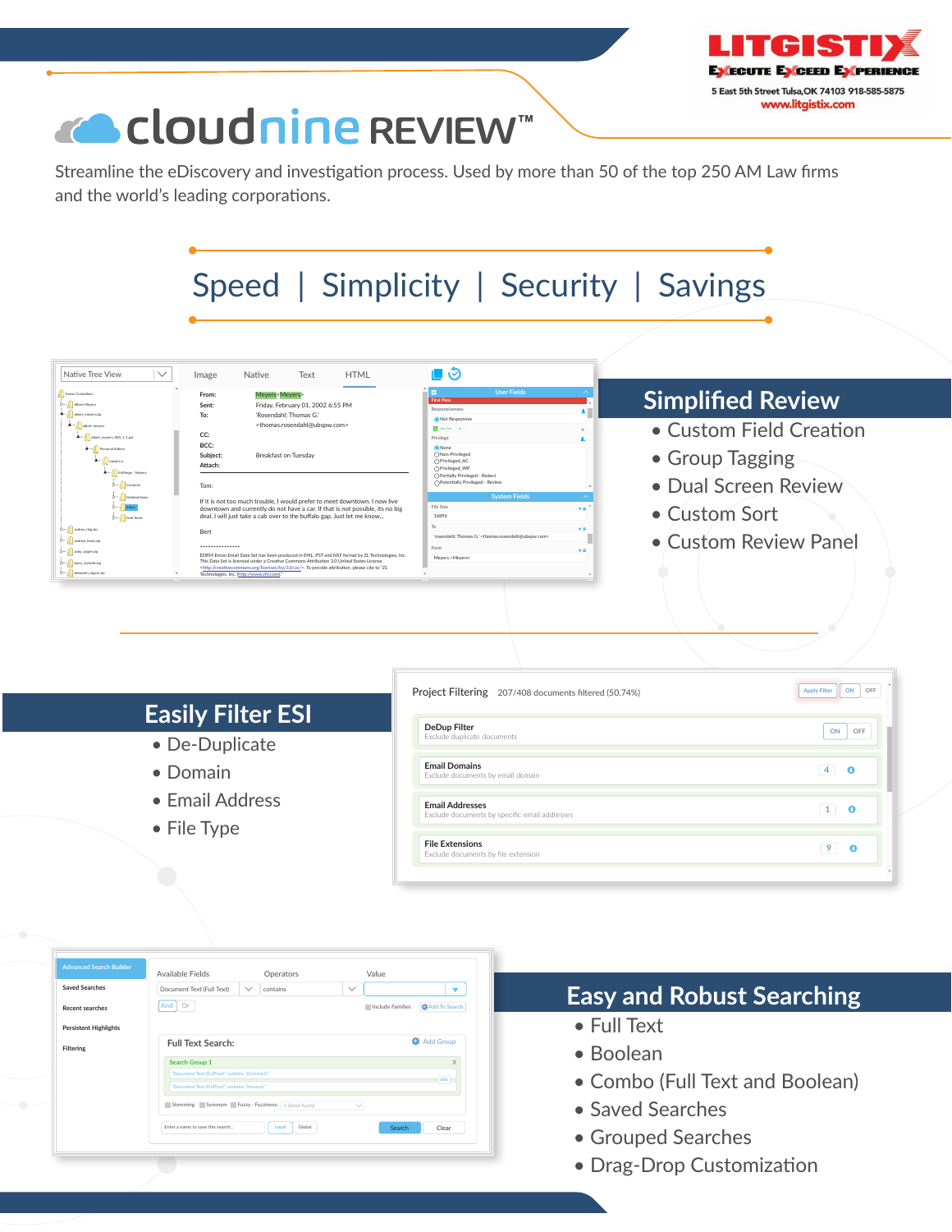

# « Cloudnine REVIEW™

Streamline the eDiscovery and investigation process. Used by more than 50 of the top 250 AM Law firms and the world's leading corporations.



| Erron Custodians<br>D-<br>abert meen zip                                                             | Meyers <meyers><br/>From:<br/>Friday, February 01, 2002 6:55 PM<br/>Sent:<br/>To:<br/>'Rosendahl: Thomas G.'</meyers>                                                                                                                                                                                                                                          | <b>User Fields</b><br>First Pass<br>Responsiveness                                                                                 | <b>Simplified Review</b> |  |
|------------------------------------------------------------------------------------------------------|----------------------------------------------------------------------------------------------------------------------------------------------------------------------------------------------------------------------------------------------------------------------------------------------------------------------------------------------------------------|------------------------------------------------------------------------------------------------------------------------------------|--------------------------|--|
| abort moves<br>$\mathbf{A} \leftarrow \prod_{i=1}^n \mathsf{short\_meyen\_000\_1\_1\,pt}$            | <thomas.rosendahl@ubspw.com><br/>CC:</thomas.rosendahl@ubspw.com>                                                                                                                                                                                                                                                                                              | Not Responsive<br><b>M</b> Hot Doc Y<br>Privilege                                                                                  | • Custom Field Creation  |  |
| Personal folders<br>$A - 1$<br>meyers-a                                                              | BCC:<br>Subject:<br><b>Breakfast on Tuesday</b><br>Attach:                                                                                                                                                                                                                                                                                                     | <b>O</b> None<br>○Non-Privileged<br>○Privileged_AC<br>○Privileged WP                                                               | • Group Tagging          |  |
| $\left\  \mathbf{z}_{\text{true}} \right\ $ Exhings - Meyers<br><b>D-J</b> O Contacts<br>Deteted hem | Tom:                                                                                                                                                                                                                                                                                                                                                           | ○Partially Privileged - Redact<br>○Potentially Privileged - Review<br><b>System Fields</b>                                         | · Dual Screen Review     |  |
|                                                                                                      | If it is not too much trouble, I would prefer to meet downtown. I now live<br>downtown and currently do not have a car. If that is not possible, its no big<br>deal, I will just take a cab over to the buffalo gap. Just let me know<br><b>Bert</b><br>***************                                                                                        | File Size<br>A<br>16896                                                                                                            | • Custom Sort            |  |
| D-1 andrea, ring zip<br>D-10 andrew Jewiszip<br>D <sup>-1</sup> andy ripper rip                      |                                                                                                                                                                                                                                                                                                                                                                | To:<br>6.8<br>'rosendahl: Thomas G.' <thomas.rosendahl@ubspw.com><br/>From<br/><math>\bullet</math> A</thomas.rosendahl@ubspw.com> | • Custom Review Panel    |  |
| b--- barry_tycholiz.zip<br>b--- benjamin_rogen.zip                                                   | EDRM Enron Email Data Set has been produced in EML, PST and NSF format by ZL Technologies, Inc.<br>This Data Set is licensed under a Creative Commons Attribution 3.0 United States License<br><http: 3.0="" by="" creativecommons.org="" licenses="" us=""></http:> . To provide attribution, please cite to "ZL<br>Technologies, Inc. (http://www.zlti.com). | Meyers <meyers></meyers>                                                                                                           |                          |  |

|                          | Project Filtering 207/408 documents filtered (50.74%)                   | ON<br>OFF<br><b>Apply Filter</b> |
|--------------------------|-------------------------------------------------------------------------|----------------------------------|
| <b>Easily Filter ESI</b> | <b>DeDup Filter</b>                                                     | ON<br>OFF                        |
| • De-Duplicate           | Exclude duplicate documents                                             |                                  |
| • Domain                 | <b>Email Domains</b><br>Exclude documents by email domain               |                                  |
| • Email Address          | <b>Email Addresses</b><br>Exclude documents by specific email addresses | o                                |
| $\bullet$ File Type      |                                                                         |                                  |
|                          | <b>File Extensions</b><br>Exclude documents by file extension           |                                  |

|                              | Available Fields                                    |              | Operators       |              | Value            |               |
|------------------------------|-----------------------------------------------------|--------------|-----------------|--------------|------------------|---------------|
| <b>Saved Searches</b>        | Document Text (Full Text)                           | $\checkmark$ | contains        | $\checkmark$ |                  | ▼             |
| Recent searches              | Or<br>And                                           |              |                 |              | Include Families | Add To Search |
| <b>Persistent Highlights</b> |                                                     |              |                 |              |                  |               |
| Filtering                    | <b>Full Text Search:</b>                            |              |                 |              |                  | Add Group     |
|                              | <b>Search Group 1</b>                               |              | X               |              |                  |               |
|                              | "Document Text (FullText)" contains "(Contract)"    |              | and             |              |                  |               |
|                              | "Document Text (FullText)" contains "(Invoice)"     |              |                 |              |                  |               |
|                              | Stemming Synonym Fuzzy - Fuzziness: 1 (least fuzzy) |              |                 | $\checkmark$ |                  |               |
|                              | Enter a name to save this search                    |              | Local<br>Global |              | Search           | Clear         |
|                              |                                                     |              |                 |              |                  |               |

# **Easy and Robust Searching**

- Full Text
- Boolean
- Combo (Full Text and Boolean)
- Saved Searches
- Grouped Searches
- Drag-Drop Customization